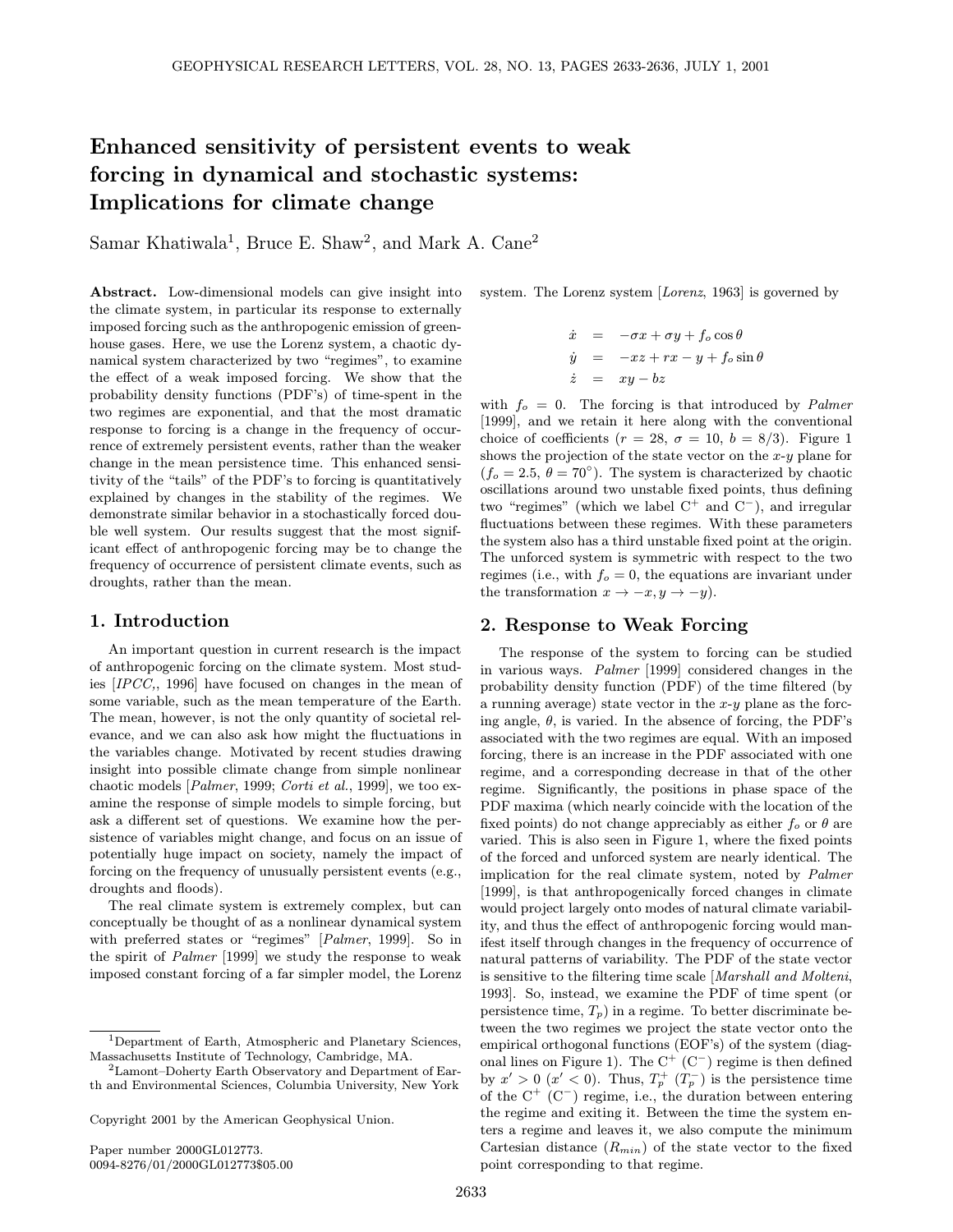# Enhanced sensitivity of persistent events to weak forcing in dynamical and stochastic systems: Implications for climate change

Samar Khatiwala<sup>1</sup>, Bruce E. Shaw<sup>2</sup>, and Mark A. Cane<sup>2</sup>

Abstract. Low-dimensional models can give insight into the climate system, in particular its response to externally imposed forcing such as the anthropogenic emission of greenhouse gases. Here, we use the Lorenz system, a chaotic dynamical system characterized by two "regimes", to examine the effect of a weak imposed forcing. We show that the probability density functions (PDF's) of time-spent in the two regimes are exponential, and that the most dramatic response to forcing is a change in the frequency of occurrence of extremely persistent events, rather than the weaker change in the mean persistence time. This enhanced sensitivity of the "tails" of the PDF's to forcing is quantitatively explained by changes in the stability of the regimes. We demonstrate similar behavior in a stochastically forced double well system. Our results suggest that the most significant effect of anthropogenic forcing may be to change the frequency of occurrence of persistent climate events, such as droughts, rather than the mean.

## 1. Introduction

An important question in current research is the impact of anthropogenic forcing on the climate system. Most studies [IPCC,, 1996] have focused on changes in the mean of some variable, such as the mean temperature of the Earth. The mean, however, is not the only quantity of societal relevance, and we can also ask how might the fluctuations in the variables change. Motivated by recent studies drawing insight into possible climate change from simple nonlinear chaotic models [Palmer, 1999; Corti et al., 1999], we too examine the response of simple models to simple forcing, but ask a different set of questions. We examine how the persistence of variables might change, and focus on an issue of potentially huge impact on society, namely the impact of forcing on the frequency of unusually persistent events (e.g., droughts and floods).

The real climate system is extremely complex, but can conceptually be thought of as a nonlinear dynamical system with preferred states or "regimes" [Palmer, 1999]. So in the spirit of Palmer [1999] we study the response to weak imposed constant forcing of a far simpler model, the Lorenz

Copyright 2001 by the American Geophysical Union.

Paper number 2000GL012773. 0094-8276/01/2000GL012773\$05.00 system. The Lorenz system [Lorenz, 1963] is governed by

$$
\dot{x} = -\sigma x + \sigma y + f_o \cos \theta
$$
  
\n
$$
\dot{y} = -xz + rx - y + f_o \sin \theta
$$
  
\n
$$
\dot{z} = xy - bz
$$

with  $f_o = 0$ . The forcing is that introduced by *Palmer* [1999], and we retain it here along with the conventional choice of coefficients ( $r = 28$ ,  $\sigma = 10$ ,  $b = 8/3$ ). Figure 1 shows the projection of the state vector on the  $x-y$  plane for  $(f<sub>o</sub> = 2.5, \theta = 70°)$ . The system is characterized by chaotic oscillations around two unstable fixed points, thus defining two "regimes" (which we label  $C^+$  and  $C^-$ ), and irregular fluctuations between these regimes. With these parameters the system also has a third unstable fixed point at the origin. The unforced system is symmetric with respect to the two regimes (i.e., with  $f<sub>o</sub> = 0$ , the equations are invariant under the transformation  $x \to -x, y \to -y$ ).

## 2. Response to Weak Forcing

The response of the system to forcing can be studied in various ways. Palmer [1999] considered changes in the probability density function (PDF) of the time filtered (by a running average) state vector in the  $x-y$  plane as the forcing angle,  $\theta$ , is varied. In the absence of forcing, the PDF's associated with the two regimes are equal. With an imposed forcing, there is an increase in the PDF associated with one regime, and a corresponding decrease in that of the other regime. Significantly, the positions in phase space of the PDF maxima (which nearly coincide with the location of the fixed points) do not change appreciably as either  $f_o$  or  $\theta$  are varied. This is also seen in Figure 1, where the fixed points of the forced and unforced system are nearly identical. The implication for the real climate system, noted by Palmer [1999], is that anthropogenically forced changes in climate would project largely onto modes of natural climate variability, and thus the effect of anthropogenic forcing would manifest itself through changes in the frequency of occurrence of natural patterns of variability. The PDF of the state vector is sensitive to the filtering time scale [Marshall and Molteni, 1993]. So, instead, we examine the PDF of time spent (or persistence time,  $T_p$ ) in a regime. To better discriminate between the two regimes we project the state vector onto the empirical orthogonal functions (EOF's) of the system (diagonal lines on Figure 1). The  $C^+$  ( $C^-$ ) regime is then defined by  $x' > 0$   $(x' < 0)$ . Thus,  $T_p^+$   $(T_p^-)$  is the persistence time of the  $C^+$  ( $C^-$ ) regime, i.e., the duration between entering the regime and exiting it. Between the time the system enters a regime and leaves it, we also compute the minimum Cartesian distance  $(R_{min})$  of the state vector to the fixed point corresponding to that regime.

<sup>1</sup>Department of Earth, Atmospheric and Planetary Sciences, Massachusetts Institute of Technology, Cambridge, MA.

<sup>2</sup>Lamont–Doherty Earth Observatory and Department of Earth and Environmental Sciences, Columbia University, New York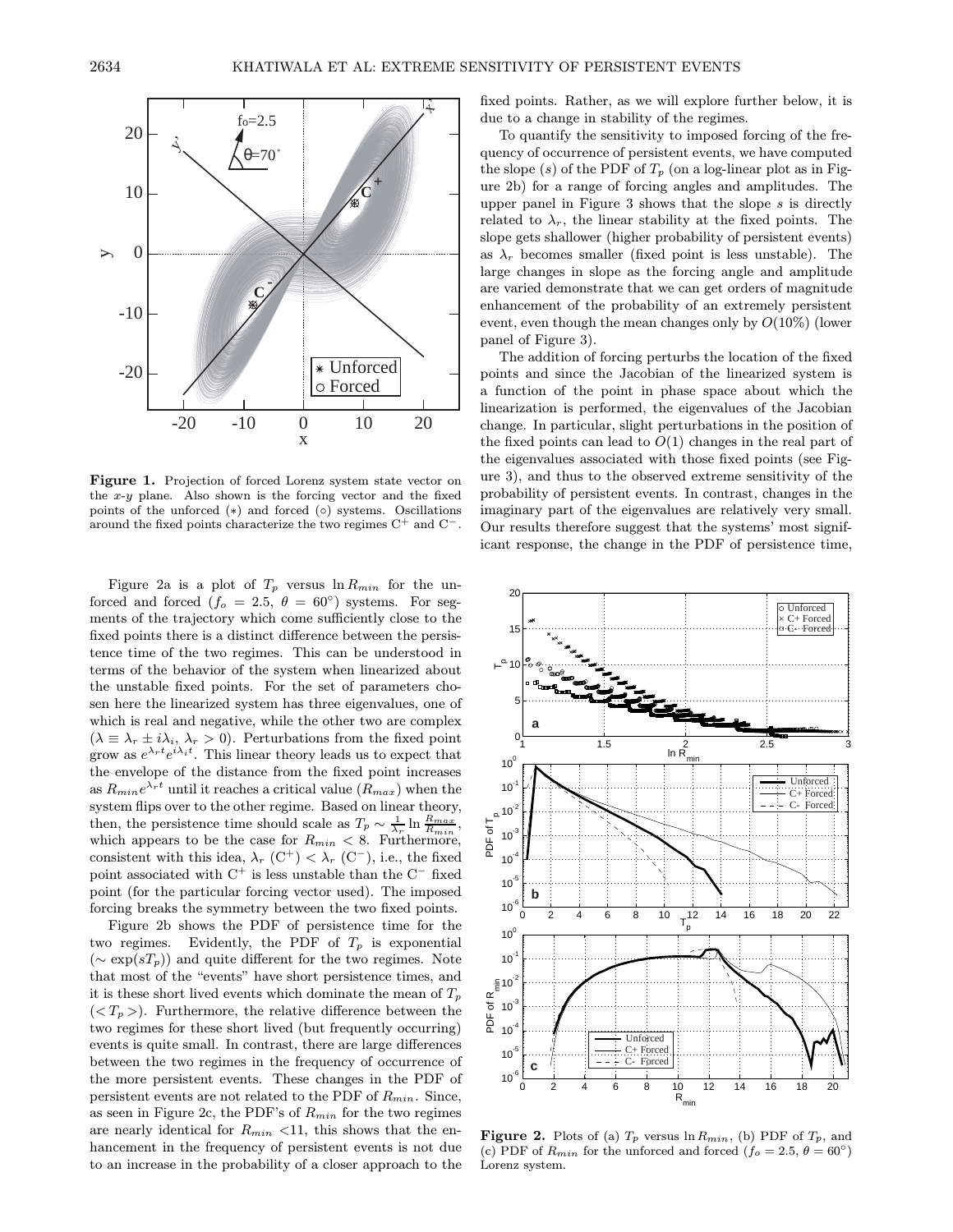

Figure 1. Projection of forced Lorenz system state vector on the  $x-y$  plane. Also shown is the forcing vector and the fixed points of the unforced (∗) and forced (◦) systems. Oscillations around the fixed points characterize the two regimes  $C^+$  and  $C^-$ .

Figure 2a is a plot of  $T_p$  versus  $\ln R_{min}$  for the unforced and forced ( $f_o = 2.5$ ,  $\theta = 60^\circ$ ) systems. For segments of the trajectory which come sufficiently close to the fixed points there is a distinct difference between the persistence time of the two regimes. This can be understood in terms of the behavior of the system when linearized about the unstable fixed points. For the set of parameters chosen here the linearized system has three eigenvalues, one of which is real and negative, while the other two are complex  $(\lambda \equiv \lambda_r \pm i\lambda_i, \lambda_r > 0)$ . Perturbations from the fixed point grow as  $e^{\lambda_r t}e^{i\lambda_i t}$ . This linear theory leads us to expect that the envelope of the distance from the fixed point increases as  $R_{min}e^{\lambda_r t}$  until it reaches a critical value  $(R_{max})$  when the system flips over to the other regime. Based on linear theory, then, the persistence time should scale as  $T_p \sim \frac{1}{\lambda_r} \ln \frac{R_{max}}{R_{min}}$ , which appears to be the case for  $R_{min} < 8$ . Furthermore, consistent with this idea,  $\lambda_r$  (C<sup>+</sup>) <  $\lambda_r$  (C<sup>−</sup>), i.e., the fixed point associated with  $C^+$  is less unstable than the  $C^-$  fixed point (for the particular forcing vector used). The imposed forcing breaks the symmetry between the two fixed points.

Figure 2b shows the PDF of persistence time for the two regimes. Evidently, the PDF of  $T_p$  is exponential  $(\sim \exp(sT_p))$  and quite different for the two regimes. Note that most of the "events" have short persistence times, and it is these short lived events which dominate the mean of  $T_p$  $(*T<sub>p</sub>*)$ . Furthermore, the relative difference between the two regimes for these short lived (but frequently occurring) events is quite small. In contrast, there are large differences between the two regimes in the frequency of occurrence of the more persistent events. These changes in the PDF of persistent events are not related to the PDF of  $R_{min}$ . Since, as seen in Figure 2c, the PDF's of  $R_{min}$  for the two regimes are nearly identical for  $R_{min}$  <11, this shows that the enhancement in the frequency of persistent events is not due to an increase in the probability of a closer approach to the fixed points. Rather, as we will explore further below, it is due to a change in stability of the regimes.

To quantify the sensitivity to imposed forcing of the frequency of occurrence of persistent events, we have computed the slope  $(s)$  of the PDF of  $T_p$  (on a log-linear plot as in Figure 2b) for a range of forcing angles and amplitudes. The upper panel in Figure 3 shows that the slope  $s$  is directly related to  $\lambda_r$ , the linear stability at the fixed points. The slope gets shallower (higher probability of persistent events) as  $\lambda_r$  becomes smaller (fixed point is less unstable). The large changes in slope as the forcing angle and amplitude are varied demonstrate that we can get orders of magnitude enhancement of the probability of an extremely persistent event, even though the mean changes only by  $O(10\%)$  (lower panel of Figure 3).

The addition of forcing perturbs the location of the fixed points and since the Jacobian of the linearized system is a function of the point in phase space about which the linearization is performed, the eigenvalues of the Jacobian change. In particular, slight perturbations in the position of the fixed points can lead to  $O(1)$  changes in the real part of the eigenvalues associated with those fixed points (see Figure 3), and thus to the observed extreme sensitivity of the probability of persistent events. In contrast, changes in the imaginary part of the eigenvalues are relatively very small. Our results therefore suggest that the systems' most significant response, the change in the PDF of persistence time,



**Figure 2.** Plots of (a)  $T_p$  versus  $\ln R_{min}$ , (b) PDF of  $T_p$ , and (c) PDF of  $R_{min}$  for the unforced and forced  $(f_o = 2.5, \theta = 60°)$ Lorenz system.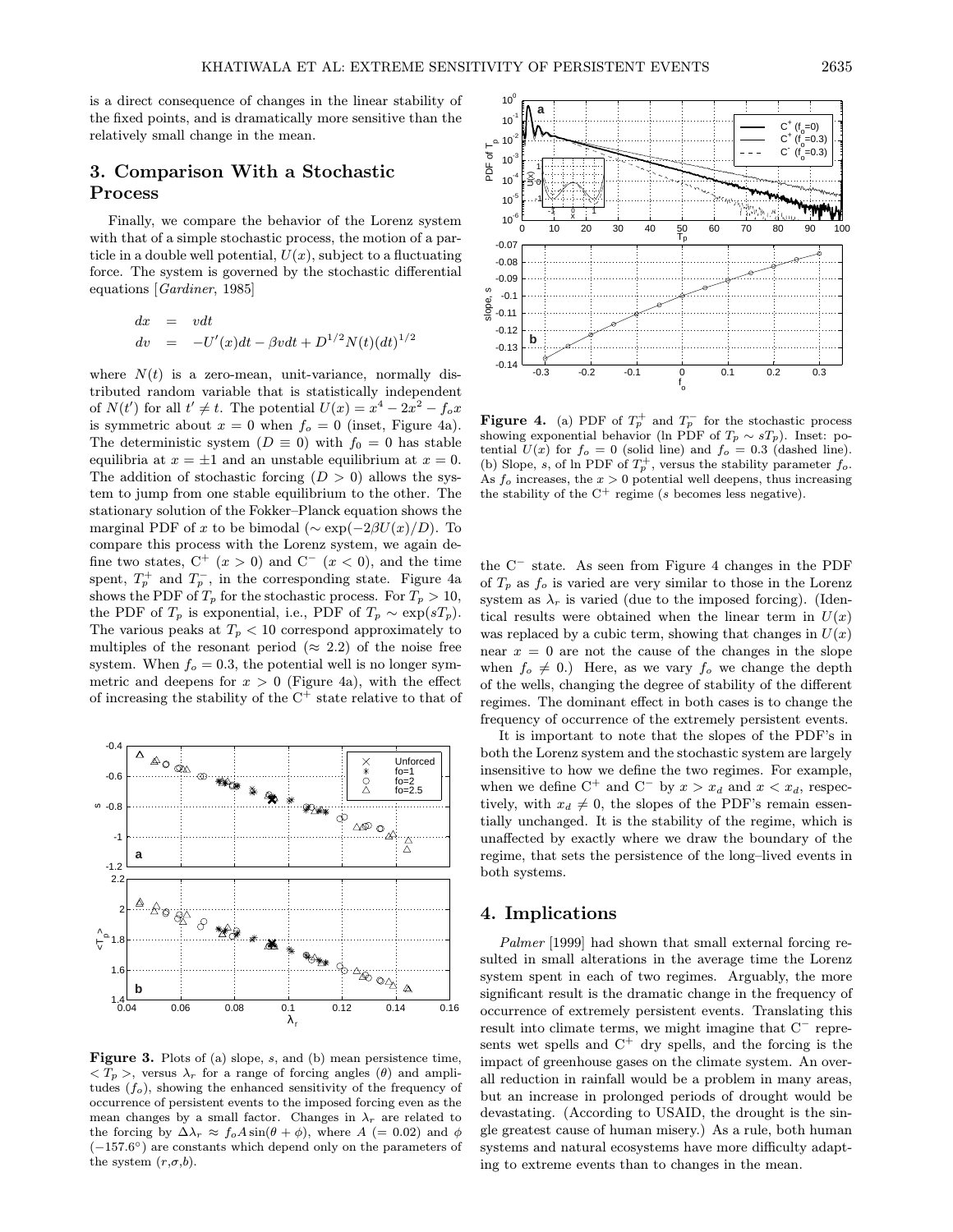is a direct consequence of changes in the linear stability of the fixed points, and is dramatically more sensitive than the relatively small change in the mean.

## 3. Comparison With a Stochastic Process

Finally, we compare the behavior of the Lorenz system with that of a simple stochastic process, the motion of a particle in a double well potential,  $U(x)$ , subject to a fluctuating force. The system is governed by the stochastic differential equations [Gardiner, 1985]

$$
dx = vdt
$$
  
\n
$$
dv = -U'(x)dt - \beta vdt + D^{1/2}N(t)(dt)^{1/2}
$$

where  $N(t)$  is a zero-mean, unit-variance, normally distributed random variable that is statistically independent of  $N(t')$  for all  $t' \neq t$ . The potential  $U(x) = x^4 - 2x^2 - f_o x$ is symmetric about  $x = 0$  when  $f_o = 0$  (inset, Figure 4a). The deterministic system ( $D \equiv 0$ ) with  $f_0 = 0$  has stable equilibria at  $x = \pm 1$  and an unstable equilibrium at  $x = 0$ . The addition of stochastic forcing  $(D > 0)$  allows the system to jump from one stable equilibrium to the other. The stationary solution of the Fokker–Planck equation shows the marginal PDF of x to be bimodal ( $\sim \exp(-2\beta U(x)/D)$ ). To compare this process with the Lorenz system, we again define two states,  $C^+$   $(x > 0)$  and  $C^ (x < 0)$ , and the time spent,  $T_p^+$  and  $T_p^-$ , in the corresponding state. Figure 4a shows the PDF of  $T_p$  for the stochastic process. For  $T_p > 10$ , the PDF of  $T_p$  is exponential, i.e., PDF of  $T_p \sim \exp(sT_p)$ . The various peaks at  $T_p < 10$  correspond approximately to multiples of the resonant period ( $\approx$  2.2) of the noise free system. When  $f<sub>o</sub> = 0.3$ , the potential well is no longer symmetric and deepens for  $x > 0$  (Figure 4a), with the effect of increasing the stability of the  $C^+$  state relative to that of



Figure 3. Plots of (a) slope, s, and (b) mean persistence time,  $\langle T_p \rangle$ , versus  $\lambda_r$  for a range of forcing angles (θ) and amplitudes  $(f_o)$ , showing the enhanced sensitivity of the frequency of occurrence of persistent events to the imposed forcing even as the mean changes by a small factor. Changes in  $\lambda_r$  are related to the forcing by  $\Delta \lambda_r \approx f_o A \sin(\theta + \phi)$ , where  $A$  (= 0.02) and  $\phi$  $(-157.6°)$  are constants which depend only on the parameters of the system  $(r, \sigma, b)$ .



**Figure 4.** (a) PDF of  $T_p^+$  and  $T_p^-$  for the stochastic process showing exponential behavior (ln PDF of  $T_p \sim sT_p$ ). Inset: potential  $U(x)$  for  $f_o = 0$  (solid line) and  $f_o = 0.3$  (dashed line). (b) Slope, s, of ln PDF of  $T_p^+$ , versus the stability parameter  $f_o$ . As  $f_o$  increases, the  $x > 0$  potential well deepens, thus increasing the stability of the  $C^+$  regime (s becomes less negative).

the C<sup>−</sup> state. As seen from Figure 4 changes in the PDF of  $T_p$  as  $f_o$  is varied are very similar to those in the Lorenz system as  $\lambda_r$  is varied (due to the imposed forcing). (Identical results were obtained when the linear term in  $U(x)$ was replaced by a cubic term, showing that changes in  $U(x)$ near  $x = 0$  are not the cause of the changes in the slope when  $f_o \neq 0$ .) Here, as we vary  $f_o$  we change the depth of the wells, changing the degree of stability of the different regimes. The dominant effect in both cases is to change the frequency of occurrence of the extremely persistent events.

It is important to note that the slopes of the PDF's in both the Lorenz system and the stochastic system are largely insensitive to how we define the two regimes. For example, when we define  $C^+$  and  $C^-$  by  $x > x_d$  and  $x < x_d$ , respectively, with  $x_d \neq 0$ , the slopes of the PDF's remain essentially unchanged. It is the stability of the regime, which is unaffected by exactly where we draw the boundary of the regime, that sets the persistence of the long–lived events in both systems.

### 4. Implications

Palmer [1999] had shown that small external forcing resulted in small alterations in the average time the Lorenz system spent in each of two regimes. Arguably, the more significant result is the dramatic change in the frequency of occurrence of extremely persistent events. Translating this result into climate terms, we might imagine that C<sup>−</sup> represents wet spells and  $C^+$  dry spells, and the forcing is the impact of greenhouse gases on the climate system. An overall reduction in rainfall would be a problem in many areas, but an increase in prolonged periods of drought would be devastating. (According to USAID, the drought is the single greatest cause of human misery.) As a rule, both human systems and natural ecosystems have more difficulty adapting to extreme events than to changes in the mean.